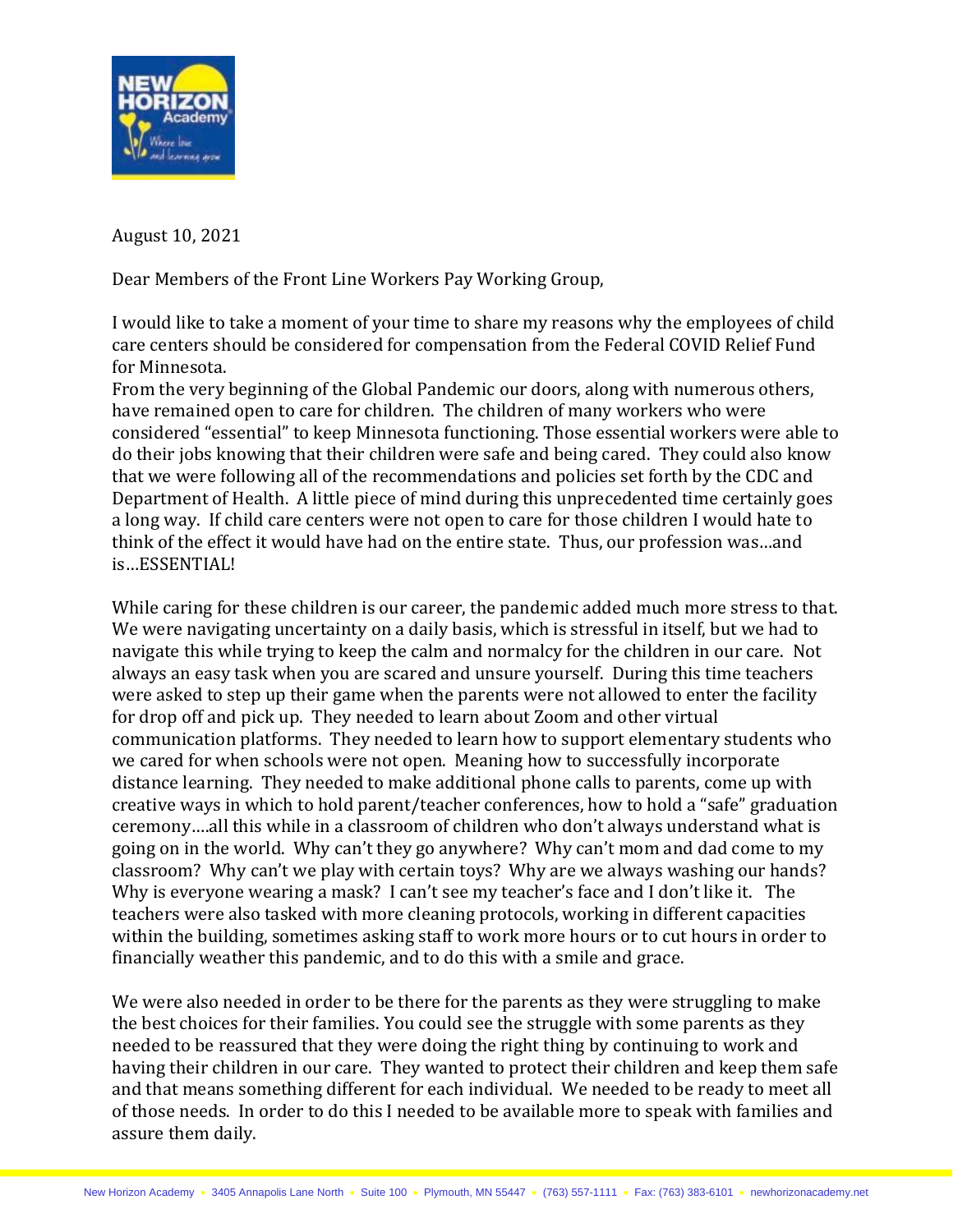

August 10, 2021

Dear Members of the Front Line Workers Pay Working Group,

I would like to take a moment of your time to share my reasons why the employees of child care centers should be considered for compensation from the Federal COVID Relief Fund for Minnesota.

From the very beginning of the Global Pandemic our doors, along with numerous others, have remained open to care for children. The children of many workers who were considered "essential" to keep Minnesota functioning. Those essential workers were able to do their jobs knowing that their children were safe and being cared. They could also know that we were following all of the recommendations and policies set forth by the CDC and Department of Health. A little piece of mind during this unprecedented time certainly goes a long way. If child care centers were not open to care for those children I would hate to think of the effect it would have had on the entire state. Thus, our profession was…and is…ESSENTIAL!

While caring for these children is our career, the pandemic added much more stress to that. We were navigating uncertainty on a daily basis, which is stressful in itself, but we had to navigate this while trying to keep the calm and normalcy for the children in our care. Not always an easy task when you are scared and unsure yourself. During this time teachers were asked to step up their game when the parents were not allowed to enter the facility for drop off and pick up. They needed to learn about Zoom and other virtual communication platforms. They needed to learn how to support elementary students who we cared for when schools were not open. Meaning how to successfully incorporate distance learning. They needed to make additional phone calls to parents, come up with creative ways in which to hold parent/teacher conferences, how to hold a "safe" graduation ceremony….all this while in a classroom of children who don't always understand what is going on in the world. Why can't they go anywhere? Why can't mom and dad come to my classroom? Why can't we play with certain toys? Why are we always washing our hands? Why is everyone wearing a mask? I can't see my teacher's face and I don't like it. The teachers were also tasked with more cleaning protocols, working in different capacities within the building, sometimes asking staff to work more hours or to cut hours in order to financially weather this pandemic, and to do this with a smile and grace.

We were also needed in order to be there for the parents as they were struggling to make the best choices for their families. You could see the struggle with some parents as they needed to be reassured that they were doing the right thing by continuing to work and having their children in our care. They wanted to protect their children and keep them safe and that means something different for each individual. We needed to be ready to meet all of those needs. In order to do this I needed to be available more to speak with families and assure them daily.